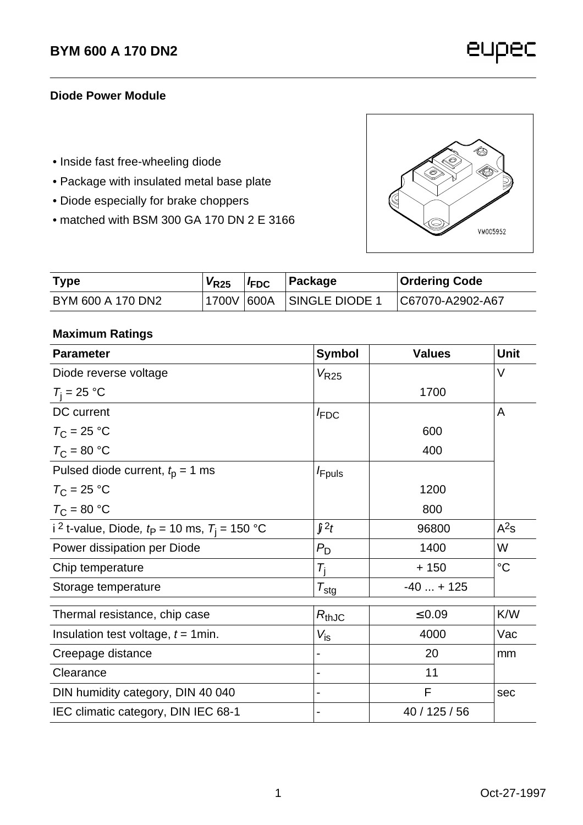eupec

### **Diode Power Module**

- Inside fast free-wheeling diode
- Package with insulated metal base plate
- Diode especially for brake choppers
- matched with BSM 300 GA 170 DN 2 E 3166



| Type              | $V_{R25}$ | FDC | ∣Package | <b>Ordering Code</b> |
|-------------------|-----------|-----|----------|----------------------|
| BYM 600 A 170 DN2 |           |     |          |                      |

## **Maximum Ratings**

| <b>Parameter</b>                                             | <b>Symbol</b>       | <b>Values</b> | Unit        |
|--------------------------------------------------------------|---------------------|---------------|-------------|
| Diode reverse voltage                                        | $V_{R25}$           |               | V           |
| $T_i = 25 °C$                                                |                     | 1700          |             |
| DC current                                                   | F <sub>DC</sub>     |               | Α           |
| $T_{\rm C}$ = 25 °C                                          |                     | 600           |             |
| $T_{\rm C}$ = 80 °C                                          |                     | 400           |             |
| Pulsed diode current, $t0 = 1$ ms                            | <i>F</i> puls       |               |             |
| $T_{\rm C}$ = 25 °C                                          |                     | 1200          |             |
| $T_{\rm C}$ = 80 °C                                          |                     | 800           |             |
| i <sup>2</sup> t-value, Diode, $t_P$ = 10 ms, $T_i$ = 150 °C | $\ddot{q}^2t$       | 96800         | $A^2s$      |
| Power dissipation per Diode                                  | $P_{\rm D}$         | 1400          | W           |
| Chip temperature                                             | $T_{\rm i}$         | $+150$        | $^{\circ}C$ |
| Storage temperature                                          | $\tau_{\text{stg}}$ | $-40 + 125$   |             |
| Thermal resistance, chip case                                | $R_{thJC}$          | $\leq 0.09$   | K/W         |
| Insulation test voltage, $t = 1$ min.                        | $V_{\sf is}$        | 4000          | Vac         |
| Creepage distance                                            |                     | 20            | mm          |
| Clearance                                                    |                     | 11            |             |
| DIN humidity category, DIN 40 040                            |                     | F             | sec         |
| IEC climatic category, DIN IEC 68-1                          |                     | 40 / 125 / 56 |             |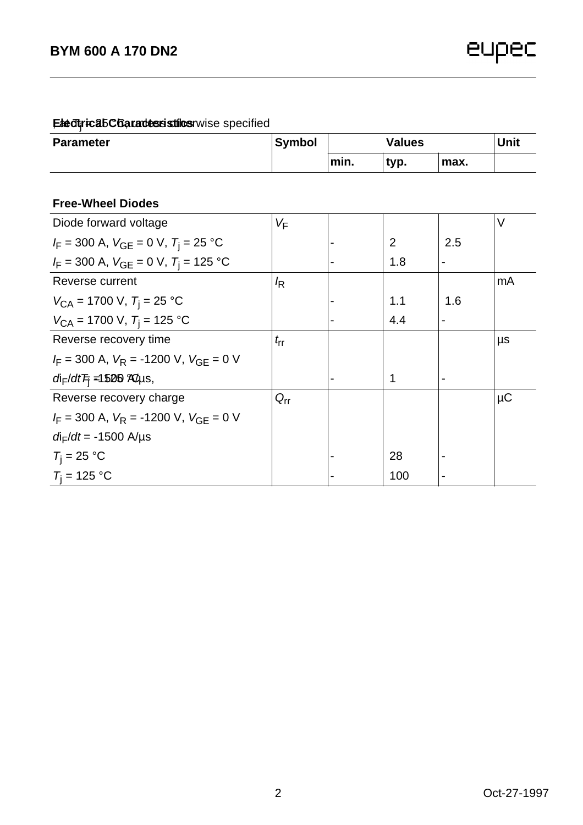# **Eledtricab Charades stilus** rwise specified

| <b>Parameter</b>                                       | <b>Symbol</b> | <b>Values</b> |      |                          | <b>Unit</b> |
|--------------------------------------------------------|---------------|---------------|------|--------------------------|-------------|
|                                                        |               | min.          | typ. | max.                     |             |
|                                                        |               |               |      |                          |             |
| <b>Free-Wheel Diodes</b>                               |               |               |      |                          |             |
| Diode forward voltage                                  | VF            |               |      |                          | V           |
| $I_F = 300$ A, $V_{GE} = 0$ V, $T_i = 25$ °C           |               |               | 2    | 2.5                      |             |
| $I_F = 300$ A, $V_{GE} = 0$ V, $T_i = 125$ °C          |               |               | 1.8  | $\overline{\phantom{0}}$ |             |
| Reverse current                                        | k             |               |      |                          | mA          |
| $V_{CA}$ = 1700 V, $T_i$ = 25 °C                       |               |               | 1.1  | 1.6                      |             |
| $V_{\text{CA}}$ = 1700 V, $T_{\text{i}}$ = 125 °C      |               |               | 4.4  |                          |             |
| Reverse recovery time                                  | $t_{rr}$      |               |      |                          | μs          |
| $I_F = 300$ A, $V_R = -1200$ V, $V_{GF} = 0$ V         |               |               |      |                          |             |
| $di_F/dt$ $\overline{F}$ = 1500 $\mathcal{R}$ $\mu$ s, |               |               | 1    | $\overline{\phantom{0}}$ |             |
| Reverse recovery charge                                | $Q_{rr}$      |               |      |                          | $\mu$ C     |
| $I_F = 300$ A, $V_R = -1200$ V, $V_{GF} = 0$ V         |               |               |      |                          |             |
| $d_{\text{F}}/dt = -1500 \text{ A/}\mu\text{s}$        |               |               |      |                          |             |
| $T_i = 25 °C$                                          |               |               | 28   |                          |             |
| $T_i = 125 °C$                                         |               |               | 100  |                          |             |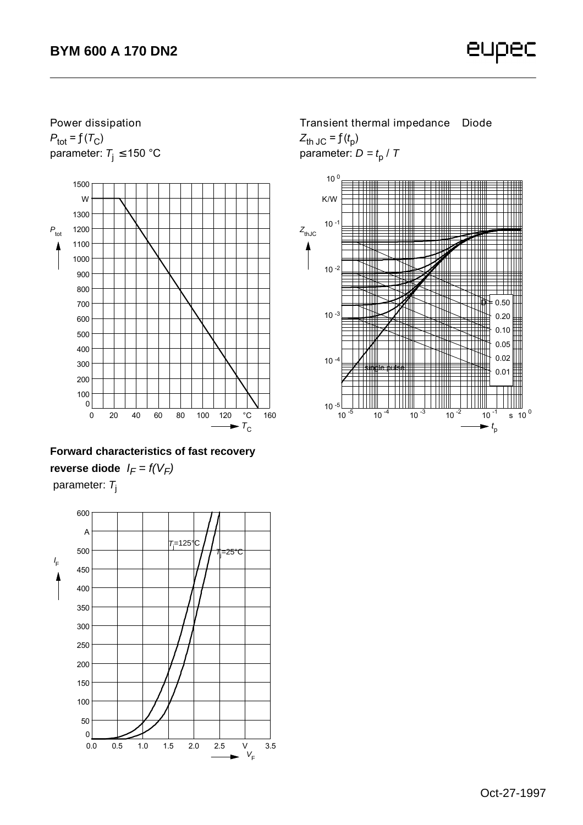## **Power dissipation**   $P_{\text{tot}} = f(T_C)$ parameter:  $T_i \le 150$  °C



# **Forward characteristics of fast recovery reverse diode**  $I_F = f(V_F)$ parameter: *T*<sup>j</sup>



**Transient thermal impedance Diode**  $Z_{\text{th JC}} = f(t_{\text{p}})$ parameter: *D = t*<sup>p</sup> / *T*

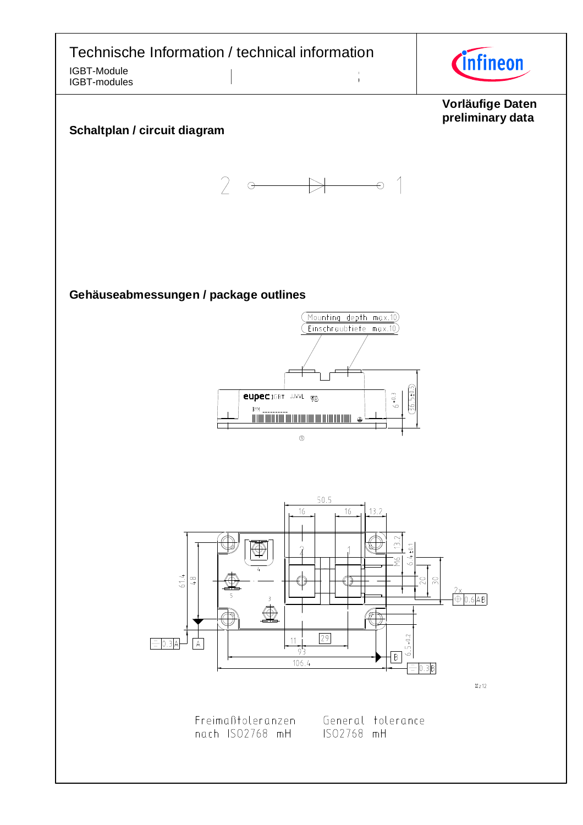